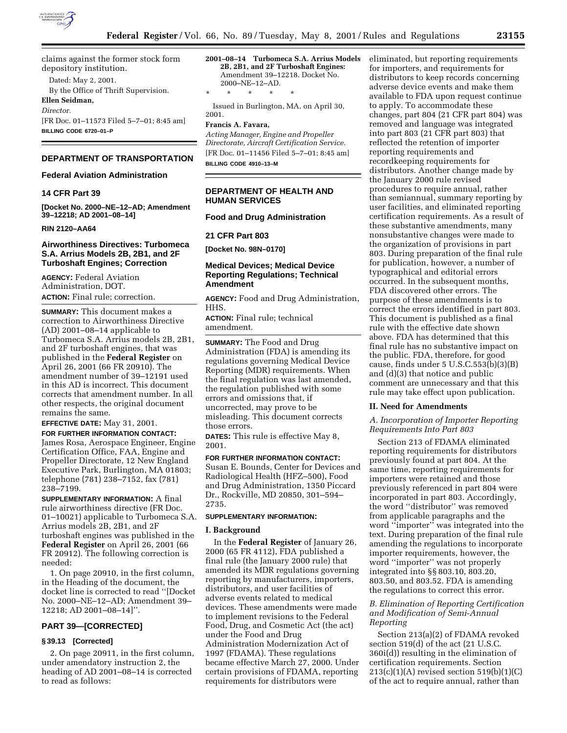

claims against the former stock form depository institution.

Dated: May 2, 2001.

By the Office of Thrift Supervision.

#### **Ellen Seidman,** *Director.*

[FR Doc. 01–11573 Filed 5–7–01; 8:45 am] **BILLING CODE 6720–01–P**

# **DEPARTMENT OF TRANSPORTATION**

### **Federal Aviation Administration**

## **14 CFR Part 39**

**[Docket No. 2000–NE–12–AD; Amendment 39–12218; AD 2001–08–14]**

### **RIN 2120–AA64**

### **Airworthiness Directives: Turbomeca S.A. Arrius Models 2B, 2B1, and 2F Turboshaft Engines; Correction**

**AGENCY:** Federal Aviation Administration, DOT. **ACTION:** Final rule; correction.

**SUMMARY:** This document makes a correction to Airworthiness Directive (AD) 2001–08–14 applicable to Turbomeca S.A. Arrius models 2B, 2B1, and 2F turboshaft engines, that was published in the **Federal Register** on April 26, 2001 (66 FR 20910). The amendment number of 39–12191 used in this AD is incorrect. This document corrects that amendment number. In all other respects, the original document remains the same.

**EFFECTIVE DATE:** May 31, 2001.

**FOR FURTHER INFORMATION CONTACT:** James Rosa, Aerospace Engineer, Engine Certification Office, FAA, Engine and Propeller Directorate, 12 New England Executive Park, Burlington, MA 01803; telephone (781) 238–7152, fax (781) 238–7199.

**SUPPLEMENTARY INFORMATION:** A final rule airworthiness directive (FR Doc. 01–10021) applicable to Turbomeca S.A. Arrius models 2B, 2B1, and 2F turboshaft engines was published in the **Federal Register** on April 26, 2001 (66 FR 20912). The following correction is needed:

1. On page 20910, in the first column, in the Heading of the document, the docket line is corrected to read ''[Docket No. 2000–NE–12–AD; Amendment 39– 12218; AD 2001–08–14]''.

### **PART 39—[CORRECTED]**

### **§ 39.13 [Corrected]**

2. On page 20911, in the first column, under amendatory instruction 2, the heading of AD 2001–08–14 is corrected to read as follows:

**2001–08–14 Turbomeca S.A. Arrius Models 2B, 2B1, and 2F Turboshaft Engines:** Amendment 39–12218. Docket No. 2000–NE–12–AD. \* \* \* \* \*

Issued in Burlington, MA, on April 30, 2001.

### **Francis A. Favara,**

*Acting Manager, Engine and Propeller Directorate, Aircraft Certification Service.* [FR Doc. 01–11456 Filed 5–7–01; 8:45 am] **BILLING CODE 4910–13–M**

### **DEPARTMENT OF HEALTH AND HUMAN SERVICES**

## **Food and Drug Administration**

#### **21 CFR Part 803**

**[Docket No. 98N–0170]**

## **Medical Devices; Medical Device Reporting Regulations; Technical Amendment**

**AGENCY:** Food and Drug Administration, HHS.

**ACTION:** Final rule; technical amendment.

**SUMMARY:** The Food and Drug Administration (FDA) is amending its regulations governing Medical Device Reporting (MDR) requirements. When the final regulation was last amended, the regulation published with some errors and omissions that, if uncorrected, may prove to be misleading. This document corrects those errors.

**DATES:** This rule is effective May 8, 2001.

### **FOR FURTHER INFORMATION CONTACT:**

Susan E. Bounds, Center for Devices and Radiological Health (HFZ–500), Food and Drug Administration, 1350 Piccard Dr., Rockville, MD 20850, 301–594– 2735.

### **SUPPLEMENTARY INFORMATION:**

#### **I. Background**

In the **Federal Register** of January 26, 2000 (65 FR 4112), FDA published a final rule (the January 2000 rule) that amended its MDR regulations governing reporting by manufacturers, importers, distributors, and user facilities of adverse events related to medical devices. These amendments were made to implement revisions to the Federal Food, Drug, and Cosmetic Act (the act) under the Food and Drug Administration Modernization Act of 1997 (FDAMA). These regulations became effective March 27, 2000. Under certain provisions of FDAMA, reporting requirements for distributors were

eliminated, but reporting requirements for importers, and requirements for distributors to keep records concerning adverse device events and make them available to FDA upon request continue to apply. To accommodate these changes, part 804 (21 CFR part 804) was removed and language was integrated into part 803 (21 CFR part 803) that reflected the retention of importer reporting requirements and recordkeeping requirements for distributors. Another change made by the January 2000 rule revised procedures to require annual, rather than semiannual, summary reporting by user facilities, and eliminated reporting certification requirements. As a result of these substantive amendments, many nonsubstantive changes were made to the organization of provisions in part 803. During preparation of the final rule for publication, however, a number of typographical and editorial errors occurred. In the subsequent months, FDA discovered other errors. The purpose of these amendments is to correct the errors identified in part 803. This document is published as a final rule with the effective date shown above. FDA has determined that this final rule has no substantive impact on the public. FDA, therefore, for good cause, finds under 5 U.S.C.553(b)(3)(B) and (d)(3) that notice and public comment are unnecessary and that this rule may take effect upon publication.

### **II. Need for Amendments**

*A. Incorporation of Importer Reporting Requirements Into Part 803*

Section 213 of FDAMA eliminated reporting requirements for distributors previously found at part 804. At the same time, reporting requirements for importers were retained and those previously referenced in part 804 were incorporated in part 803. Accordingly, the word ''distributor'' was removed from applicable paragraphs and the word ''importer'' was integrated into the text. During preparation of the final rule amending the regulations to incorporate importer requirements, however, the word ''importer'' was not properly integrated into §§ 803.10, 803.20, 803.50, and 803.52. FDA is amending the regulations to correct this error.

### *B. Elimination of Reporting Certification and Modification of Semi-Annual Reporting*

Section 213(a)(2) of FDAMA revoked section 519(d) of the act (21 U.S.C. 360i(d)) resulting in the elimination of certification requirements. Section  $213(c)(1)(A)$  revised section  $519(b)(1)(C)$ of the act to require annual, rather than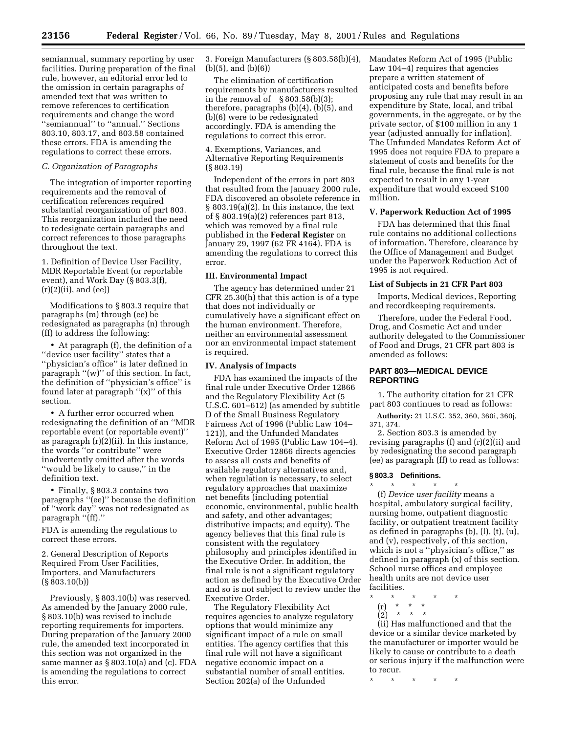semiannual, summary reporting by user facilities. During preparation of the final rule, however, an editorial error led to the omission in certain paragraphs of amended text that was written to remove references to certification requirements and change the word ''semiannual'' to ''annual.'' Sections 803.10, 803.17, and 803.58 contained these errors. FDA is amending the regulations to correct these errors.

### *C. Organization of Paragraphs*

The integration of importer reporting requirements and the removal of certification references required substantial reorganization of part 803. This reorganization included the need to redesignate certain paragraphs and correct references to those paragraphs throughout the text.

1. Definition of Device User Facility, MDR Reportable Event (or reportable event), and Work Day (§ 803.3(f),  $(r)(2)(ii)$ , and  $(ee)$ 

Modifications to § 803.3 require that paragraphs (m) through (ee) be redesignated as paragraphs (n) through (ff) to address the following:

• At paragraph (f), the definition of a ''device user facility'' states that a ''physician's office'' is later defined in paragraph " $(w)$ " of this section. In fact, the definition of ''physician's office'' is found later at paragraph ''(x)'' of this section.

• A further error occurred when redesignating the definition of an ''MDR reportable event (or reportable event)'' as paragraph (r)(2)(ii). In this instance, the words ''or contribute'' were inadvertently omitted after the words ''would be likely to cause,'' in the definition text.

• Finally, §803.3 contains two paragraphs ''(ee)'' because the definition of ''work day'' was not redesignated as paragraph "(ff)."

FDA is amending the regulations to correct these errors.

2. General Description of Reports Required From User Facilities, Importers, and Manufacturers (§ 803.10(b))

Previously, § 803.10(b) was reserved. As amended by the January 2000 rule, § 803.10(b) was revised to include reporting requirements for importers. During preparation of the January 2000 rule, the amended text incorporated in this section was not organized in the same manner as § 803.10(a) and (c). FDA is amending the regulations to correct this error.

3. Foreign Manufacturers (§ 803.58(b)(4), (b)(5), and (b)(6))

The elimination of certification requirements by manufacturers resulted in the removal of  $\S 803.58(b)(3);$ therefore, paragraphs (b)(4), (b)(5), and (b)(6) were to be redesignated accordingly. FDA is amending the regulations to correct this error.

4. Exemptions, Variances, and Alternative Reporting Requirements (§ 803.19)

Independent of the errors in part 803 that resulted from the January 2000 rule, FDA discovered an obsolete reference in § 803.19(a)(2). In this instance, the text of § 803.19(a)(2) references part 813, which was removed by a final rule published in the **Federal Register** on January 29, 1997 (62 FR 4164). FDA is amending the regulations to correct this error.

#### **III. Environmental Impact**

The agency has determined under 21 CFR 25.30(h) that this action is of a type that does not individually or cumulatively have a significant effect on the human environment. Therefore, neither an environmental assessment nor an environmental impact statement is required.

#### **IV. Analysis of Impacts**

FDA has examined the impacts of the final rule under Executive Order 12866 and the Regulatory Flexibility Act (5 U.S.C. 601–612) (as amended by subtitle D of the Small Business Regulatory Fairness Act of 1996 (Public Law 104– 121)), and the Unfunded Mandates Reform Act of 1995 (Public Law 104–4). Executive Order 12866 directs agencies to assess all costs and benefits of available regulatory alternatives and, when regulation is necessary, to select regulatory approaches that maximize net benefits (including potential economic, environmental, public health and safety, and other advantages; distributive impacts; and equity). The agency believes that this final rule is consistent with the regulatory philosophy and principles identified in the Executive Order. In addition, the final rule is not a significant regulatory action as defined by the Executive Order and so is not subject to review under the Executive Order.

The Regulatory Flexibility Act requires agencies to analyze regulatory options that would minimize any significant impact of a rule on small entities. The agency certifies that this final rule will not have a significant negative economic impact on a substantial number of small entities. Section 202(a) of the Unfunded

Mandates Reform Act of 1995 (Public Law 104–4) requires that agencies prepare a written statement of anticipated costs and benefits before proposing any rule that may result in an expenditure by State, local, and tribal governments, in the aggregate, or by the private sector, of \$100 million in any 1 year (adjusted annually for inflation). The Unfunded Mandates Reform Act of 1995 does not require FDA to prepare a statement of costs and benefits for the final rule, because the final rule is not expected to result in any 1-year expenditure that would exceed \$100 million.

### **V. Paperwork Reduction Act of 1995**

FDA has determined that this final rule contains no additional collections of information. Therefore, clearance by the Office of Management and Budget under the Paperwork Reduction Act of 1995 is not required.

### **List of Subjects in 21 CFR Part 803**

Imports, Medical devices, Reporting and recordkeeping requirements.

Therefore, under the Federal Food, Drug, and Cosmetic Act and under authority delegated to the Commissioner of Food and Drugs, 21 CFR part 803 is amended as follows:

## **PART 803—MEDICAL DEVICE REPORTING**

1. The authority citation for 21 CFR part 803 continues to read as follows:

**Authority:** 21 U.S.C. 352, 360, 360i, 360j, 371, 374.

2. Section 803.3 is amended by revising paragraphs (f) and (r)(2)(ii) and by redesignating the second paragraph (ee) as paragraph (ff) to read as follows:

#### **§ 803.3 Definitions.**

\* \* \* \* \* (f) *Device user facility* means a hospital, ambulatory surgical facility, nursing home, outpatient diagnostic facility, or outpatient treatment facility as defined in paragraphs (b), (l), (t), (u), and (v), respectively, of this section, which is not a ''physician's office,'' as defined in paragraph (x) of this section. School nurse offices and employee health units are not device user facilities.

- \* \* \* \* \*
- (r) \* \* \* (2) \* \* \*

(ii) Has malfunctioned and that the device or a similar device marketed by the manufacturer or importer would be likely to cause or contribute to a death or serious injury if the malfunction were to recur.

\* \* \* \* \*